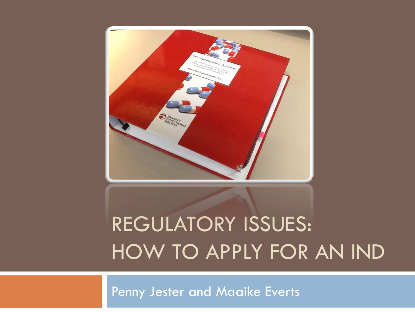

# REGULATORY ISSUES: HOW TO APPLY FOR AN IND

Penny Jester and Maaike Everts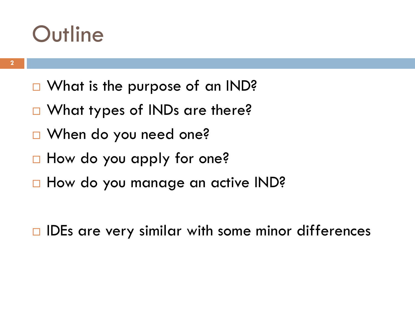### **Outline**

- □ What is the purpose of an IND?
- □ What types of INDs are there?
- □ When do you need one?
- □ How do you apply for one?
- □ How do you manage an active IND?

 $\Box$  IDEs are very similar with some minor differences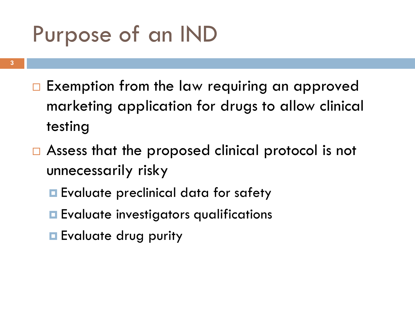## Purpose of an IND

- **3**
- $\Box$  Exemption from the law requiring an approved marketing application for drugs to allow clinical testing
- $\Box$  Assess that the proposed clinical protocol is not unnecessarily risky
	- **Exaluate preclinical data for safety**
	- **Exaluate investigators qualifications**
	- **Exaluate drug purity**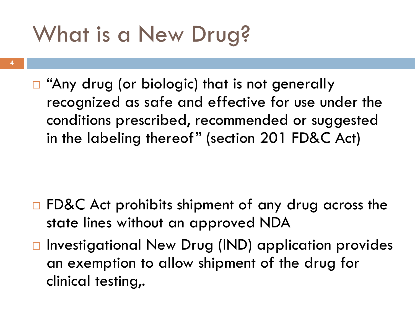### What is a New Drug?

- **4**
- Any drug (or biologic) that is not generally recognized as safe and effective for use under the conditions prescribed, recommended or suggested in the labeling thereof" (section 201 FD&C Act)

- $\Box$  FD&C Act prohibits shipment of any drug across the state lines without an approved NDA
- $\Box$  Investigational New Drug (IND) application provides an exemption to allow shipment of the drug for clinical testing,.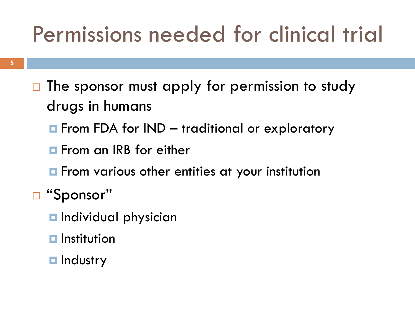## Permissions needed for clinical trial

- $\Box$  The sponsor must apply for permission to study drugs in humans
	- **E** From FDA for IND traditional or exploratory
	- **F** From an IRB for either
	- **E** From various other entities at your institution
- □ "Sponsor"
	- $\blacksquare$  Individual physician
	- $\blacksquare$  Institution
	- **<u>Industry</u>**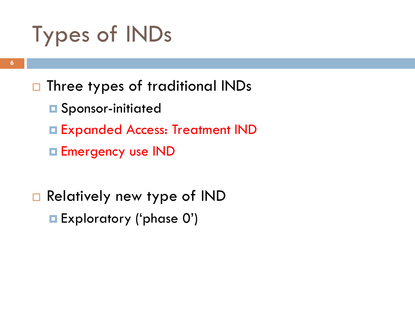## Types of INDs

- □ Three types of traditional INDs
	- **O** Sponsor-initiated
	- Expanded Access: Treatment IND
	- **Emergency use IND**
- □ Relatively new type of IND Exploratory ('phase 0')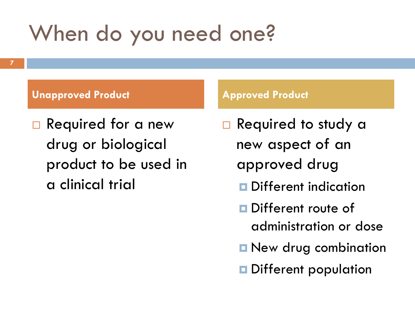### When do you need one?

### **Unapproved Product Construction Construction Approved Product**

□ Required for a new drug or biological product to be used in a clinical trial

- □ Required to study a new aspect of an approved drug
	- **Different indication**
	- **Different route of** administration or dose
	- **New drug combination**
	- Different population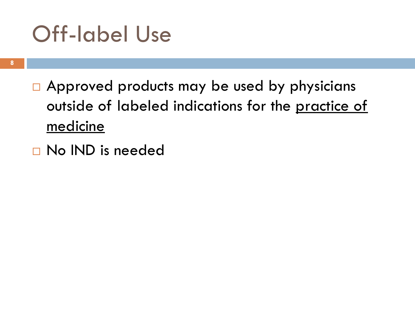### Off-label Use

- $\Box$  Approved products may be used by physicians outside of labeled indications for the practice of medicine
- □ No IND is needed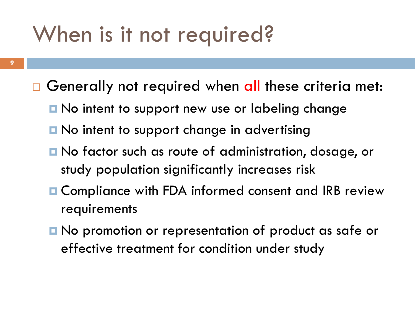### When is it not required?

- $\Box$  Generally not required when all these criteria met:
	- No intent to support new use or labeling change
	- **□ No intent to support change in advertising**
	- No factor such as route of administration, dosage, or study population significantly increases risk
	- **□ Compliance with FDA informed consent and IRB review** requirements
	- No promotion or representation of product as safe or effective treatment for condition under study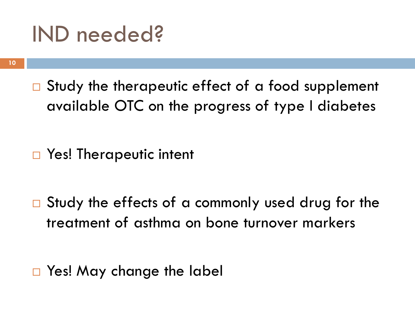### IND needed?

 $\Box$  Study the therapeutic effect of a food supplement available OTC on the progress of type I diabetes

□ Yes! Therapeutic intent

 $\Box$  Study the effects of a commonly used drug for the treatment of asthma on bone turnover markers

□ Yes! May change the label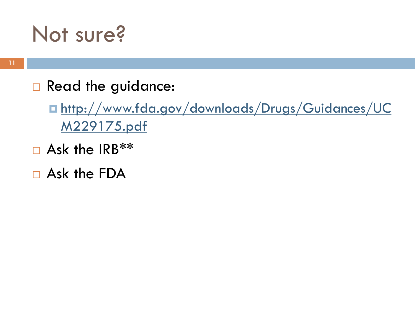### Not sure?

Read the guidance:

■ http://www.fda.gov/downloads/Drugs/Guidances/UC M229175.pdf

- $\Box$  Ask the IRB\*\*
- Ask the FDA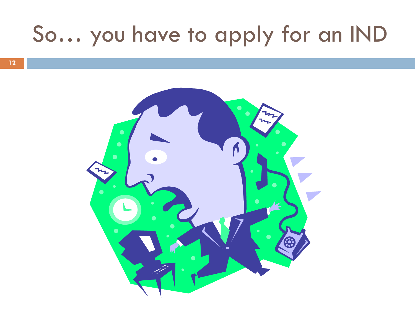### So… you have to apply for an IND

**12**

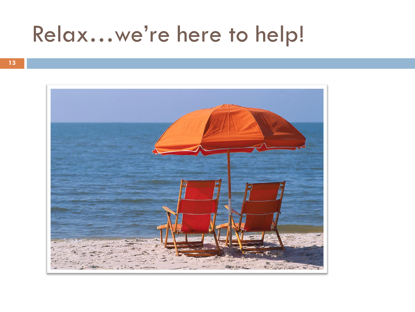## Relax…we're here to help!

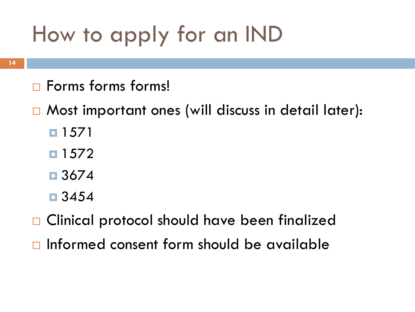# How to apply for an IND

- $\Box$  Forms forms!
- □ Most important ones (will discuss in detail later):
	- 1571
	- $\Box$  1572
	- $\Box$  3674
	- $\Box$  3454
- □ Clinical protocol should have been finalized
- $\Box$  Informed consent form should be available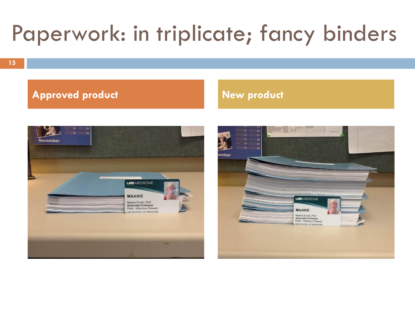# Paperwork: in triplicate; fancy binders

### **Approved product New product**



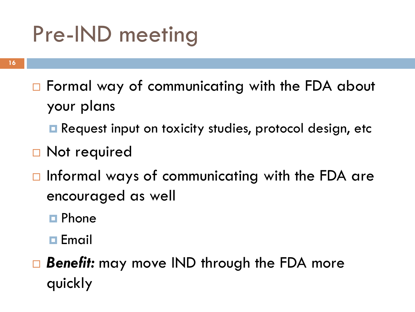## Pre-IND meeting

- □ Formal way of communicating with the FDA about your plans
	- **Request input on toxicity studies, protocol design, etc**
- □ Not required
- $\Box$  Informal ways of communicating with the FDA are encouraged as well
	- **E** Phone
	- **Email**
- *Benefit:* may move IND through the FDA more quickly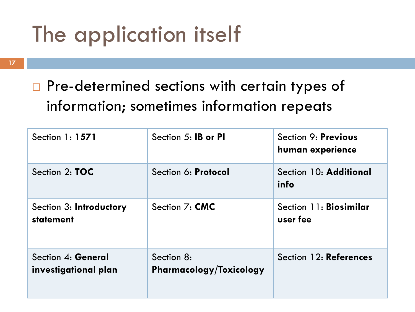## The application itself

### □ Pre-determined sections with certain types of information; sometimes information repeats

| Section 1: 1571                            | Section 5: <b>IB or PI</b>            | Section 9: Previous<br>human experience |
|--------------------------------------------|---------------------------------------|-----------------------------------------|
| Section 2: <b>TOC</b>                      | Section 6: Protocol                   | Section 10: Additional<br>info          |
| Section 3: Introductory<br>statement       | Section 7: <b>CMC</b>                 | Section 11: Biosimilar<br>user fee      |
| Section 4: General<br>investigational plan | Section 8:<br>Pharmacology/Toxicology | Section 12: References                  |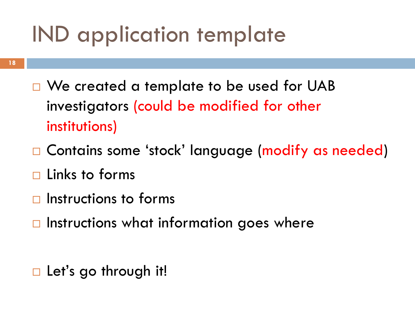### IND application template

- **18**
- □ We created a template to be used for UAB investigators (could be modified for other institutions)
- □ Contains some 'stock' language (modify as needed)
- $\Box$  Links to forms
- $\Box$  Instructions to forms
- $\Box$  Instructions what information goes where

 $\Box$  Let's go through it!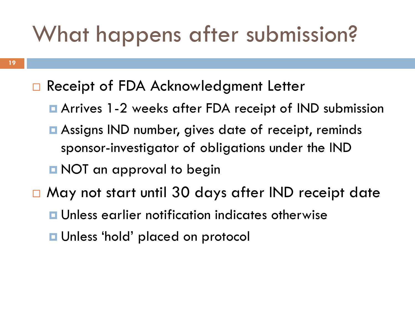### What happens after submission?

- □ Receipt of FDA Acknowledgment Letter
	- Arrives 1-2 weeks after FDA receipt of IND submission
	- **□** Assigns IND number, gives date of receipt, reminds sponsor-investigator of obligations under the IND
	- **D** NOT an approval to begin
- □ May not start until 30 days after IND receipt date **<u>E</u>** Unless earlier notification indicates otherwise ■ Unless 'hold' placed on protocol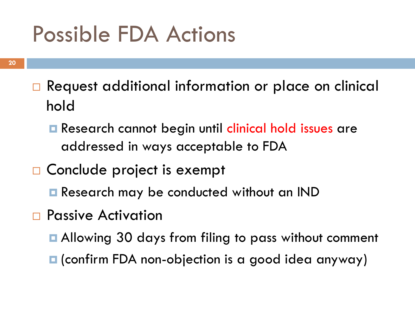### Possible FDA Actions

- □ Request additional information or place on clinical hold
	- **E** Research cannot begin until clinical hold issues are addressed in ways acceptable to FDA
- □ Conclude project is exempt
	- **Research may be conducted without an IND**
- □ Passive Activation
	- Allowing 30 days from filing to pass without comment
	- $\blacksquare$  (confirm FDA non-objection is a good idea anyway)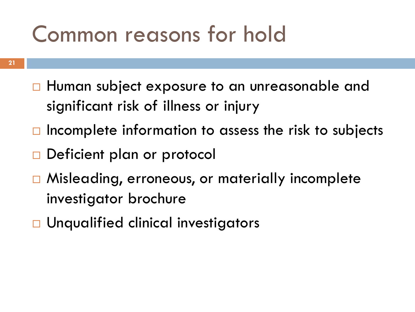### Common reasons for hold

- □ Human subject exposure to an unreasonable and significant risk of illness or injury
- $\Box$  Incomplete information to assess the risk to subjects
- Deficient plan or protocol
- □ Misleading, erroneous, or materially incomplete investigator brochure
- □ Unqualified clinical investigators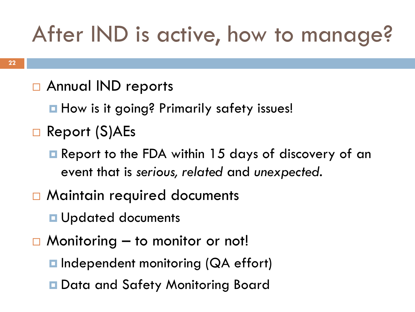## After IND is active, how to manage?

### □ Annual IND reports

**How is it going? Primarily safety issues!** 

- Report (S)AEs
	- **E** Report to the FDA within 15 days of discovery of an event that is *serious, related* and *unexpected.*
- □ Maintain required documents

**<u>u</u>** Updated documents

- $\Box$  Monitoring to monitor or not!
	- **□** Independent monitoring (QA effort)
	- **□** Data and Safety Monitoring Board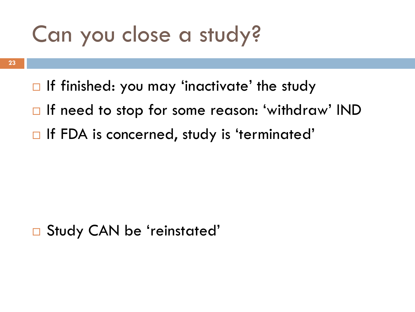### Can you close a study?

- **23**
- $\Box$  If finished: you may 'inactivate' the study
- □ If need to stop for some reason: 'withdraw' IND
- $\Box$  If FDA is concerned, study is 'terminated'

### □ Study CAN be 'reinstated'